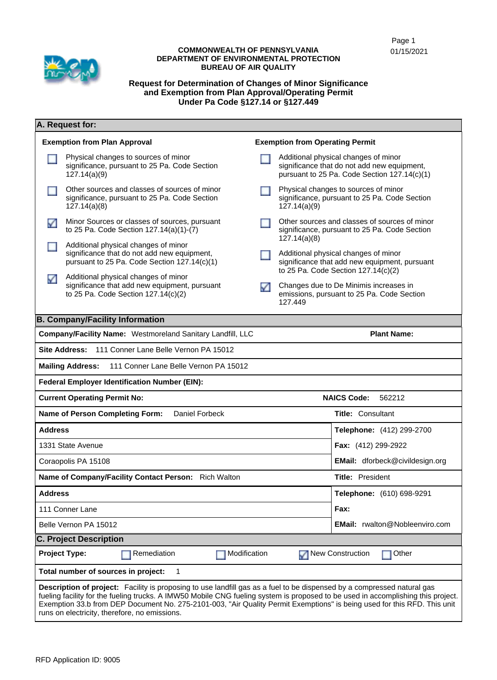

| A. Request for:                                                                                                                                                                                                                                                                                                                                                                                                                          |                                                                                                                                     |                                       |                                                                                                                                                                                                                                 |  |  |  |  |  |  |
|------------------------------------------------------------------------------------------------------------------------------------------------------------------------------------------------------------------------------------------------------------------------------------------------------------------------------------------------------------------------------------------------------------------------------------------|-------------------------------------------------------------------------------------------------------------------------------------|---------------------------------------|---------------------------------------------------------------------------------------------------------------------------------------------------------------------------------------------------------------------------------|--|--|--|--|--|--|
| <b>Exemption from Plan Approval</b>                                                                                                                                                                                                                                                                                                                                                                                                      |                                                                                                                                     |                                       | <b>Exemption from Operating Permit</b>                                                                                                                                                                                          |  |  |  |  |  |  |
|                                                                                                                                                                                                                                                                                                                                                                                                                                          | Physical changes to sources of minor<br>significance, pursuant to 25 Pa. Code Section<br>127.14(a)(9)                               |                                       | Additional physical changes of minor<br>significance that do not add new equipment,<br>pursuant to 25 Pa. Code Section 127.14(c)(1)                                                                                             |  |  |  |  |  |  |
|                                                                                                                                                                                                                                                                                                                                                                                                                                          | Other sources and classes of sources of minor<br>significance, pursuant to 25 Pa. Code Section<br>127.14(a)(8)                      |                                       | Physical changes to sources of minor<br>significance, pursuant to 25 Pa. Code Section<br>127.14(a)(9)                                                                                                                           |  |  |  |  |  |  |
| ☑                                                                                                                                                                                                                                                                                                                                                                                                                                        | Minor Sources or classes of sources, pursuant<br>to 25 Pa. Code Section 127.14(a)(1)-(7)                                            |                                       | Other sources and classes of sources of minor<br>significance, pursuant to 25 Pa. Code Section<br>127.14(a)(8)                                                                                                                  |  |  |  |  |  |  |
| ▬                                                                                                                                                                                                                                                                                                                                                                                                                                        | Additional physical changes of minor<br>significance that do not add new equipment,<br>pursuant to 25 Pa. Code Section 127.14(c)(1) |                                       | Additional physical changes of minor<br>significance that add new equipment, pursuant<br>to 25 Pa. Code Section 127.14(c)(2)<br>Changes due to De Minimis increases in<br>emissions, pursuant to 25 Pa. Code Section<br>127.449 |  |  |  |  |  |  |
| ☑                                                                                                                                                                                                                                                                                                                                                                                                                                        | Additional physical changes of minor<br>significance that add new equipment, pursuant<br>to 25 Pa. Code Section 127.14(c)(2)        | М                                     |                                                                                                                                                                                                                                 |  |  |  |  |  |  |
|                                                                                                                                                                                                                                                                                                                                                                                                                                          | <b>B. Company/Facility Information</b>                                                                                              |                                       |                                                                                                                                                                                                                                 |  |  |  |  |  |  |
|                                                                                                                                                                                                                                                                                                                                                                                                                                          | <b>Company/Facility Name:</b> Westmoreland Sanitary Landfill, LLC                                                                   |                                       | <b>Plant Name:</b>                                                                                                                                                                                                              |  |  |  |  |  |  |
|                                                                                                                                                                                                                                                                                                                                                                                                                                          | Site Address: 111 Conner Lane Belle Vernon PA 15012                                                                                 |                                       |                                                                                                                                                                                                                                 |  |  |  |  |  |  |
|                                                                                                                                                                                                                                                                                                                                                                                                                                          | 111 Conner Lane Belle Vernon PA 15012<br><b>Mailing Address:</b>                                                                    |                                       |                                                                                                                                                                                                                                 |  |  |  |  |  |  |
|                                                                                                                                                                                                                                                                                                                                                                                                                                          | <b>Federal Employer Identification Number (EIN):</b>                                                                                |                                       |                                                                                                                                                                                                                                 |  |  |  |  |  |  |
|                                                                                                                                                                                                                                                                                                                                                                                                                                          | <b>Current Operating Permit No:</b>                                                                                                 |                                       | <b>NAICS Code:</b><br>562212                                                                                                                                                                                                    |  |  |  |  |  |  |
|                                                                                                                                                                                                                                                                                                                                                                                                                                          | Name of Person Completing Form:<br>Daniel Forbeck                                                                                   |                                       | Title: Consultant                                                                                                                                                                                                               |  |  |  |  |  |  |
| <b>Address</b>                                                                                                                                                                                                                                                                                                                                                                                                                           |                                                                                                                                     |                                       | Telephone: (412) 299-2700                                                                                                                                                                                                       |  |  |  |  |  |  |
| 1331 State Avenue                                                                                                                                                                                                                                                                                                                                                                                                                        |                                                                                                                                     |                                       | Fax: (412) 299-2922                                                                                                                                                                                                             |  |  |  |  |  |  |
| Coraopolis PA 15108                                                                                                                                                                                                                                                                                                                                                                                                                      |                                                                                                                                     |                                       | EMail: dforbeck@civildesign.org                                                                                                                                                                                                 |  |  |  |  |  |  |
|                                                                                                                                                                                                                                                                                                                                                                                                                                          | Name of Company/Facility Contact Person: Rich Walton                                                                                | <b>Title: President</b>               |                                                                                                                                                                                                                                 |  |  |  |  |  |  |
| <b>Address</b>                                                                                                                                                                                                                                                                                                                                                                                                                           |                                                                                                                                     | Telephone: (610) 698-9291             |                                                                                                                                                                                                                                 |  |  |  |  |  |  |
|                                                                                                                                                                                                                                                                                                                                                                                                                                          | 111 Conner Lane                                                                                                                     | Fax:                                  |                                                                                                                                                                                                                                 |  |  |  |  |  |  |
|                                                                                                                                                                                                                                                                                                                                                                                                                                          | Belle Vernon PA 15012                                                                                                               | <b>EMail:</b> rwalton@Nobleenviro.com |                                                                                                                                                                                                                                 |  |  |  |  |  |  |
|                                                                                                                                                                                                                                                                                                                                                                                                                                          | <b>C. Project Description</b>                                                                                                       |                                       |                                                                                                                                                                                                                                 |  |  |  |  |  |  |
|                                                                                                                                                                                                                                                                                                                                                                                                                                          | <b>Project Type:</b><br>Remediation                                                                                                 | Modification                          | New Construction<br>Other                                                                                                                                                                                                       |  |  |  |  |  |  |
| Total number of sources in project:<br>1                                                                                                                                                                                                                                                                                                                                                                                                 |                                                                                                                                     |                                       |                                                                                                                                                                                                                                 |  |  |  |  |  |  |
| Description of project: Facility is proposing to use landfill gas as a fuel to be dispensed by a compressed natural gas<br>fueling facility for the fueling trucks. A IMW50 Mobile CNG fueling system is proposed to be used in accomplishing this project.<br>Exemption 33.b from DEP Document No. 275-2101-003, "Air Quality Permit Exemptions" is being used for this RFD. This unit<br>runs on electricity, therefore, no emissions. |                                                                                                                                     |                                       |                                                                                                                                                                                                                                 |  |  |  |  |  |  |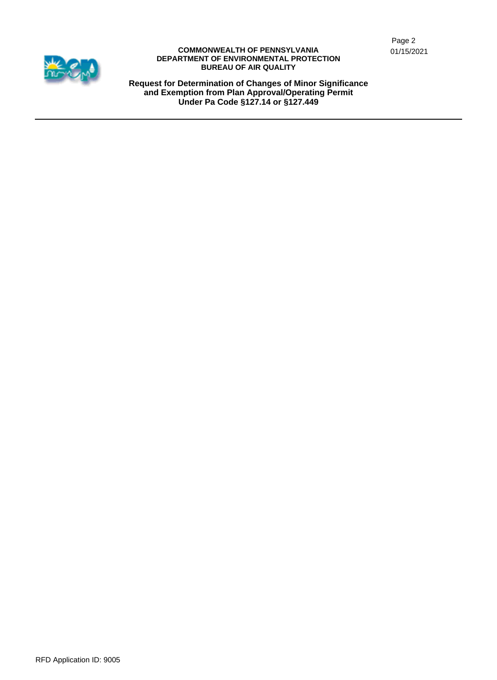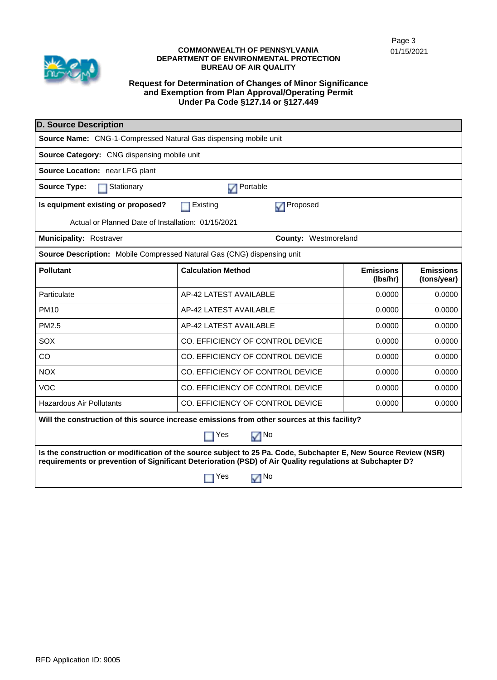

| <b>D. Source Description</b>                                                                                                                                                                                                 |                                  |                              |                                 |  |  |  |  |  |  |
|------------------------------------------------------------------------------------------------------------------------------------------------------------------------------------------------------------------------------|----------------------------------|------------------------------|---------------------------------|--|--|--|--|--|--|
| Source Name: CNG-1-Compressed Natural Gas dispensing mobile unit                                                                                                                                                             |                                  |                              |                                 |  |  |  |  |  |  |
| Source Category: CNG dispensing mobile unit                                                                                                                                                                                  |                                  |                              |                                 |  |  |  |  |  |  |
| Source Location: near LFG plant                                                                                                                                                                                              |                                  |                              |                                 |  |  |  |  |  |  |
| <b>Source Type:</b><br>Stationary<br><b>Portable</b>                                                                                                                                                                         |                                  |                              |                                 |  |  |  |  |  |  |
| Is equipment existing or proposed?                                                                                                                                                                                           | Existing<br>Proposed             |                              |                                 |  |  |  |  |  |  |
| Actual or Planned Date of Installation: 01/15/2021                                                                                                                                                                           |                                  |                              |                                 |  |  |  |  |  |  |
| Municipality: Rostraver<br><b>County: Westmoreland</b>                                                                                                                                                                       |                                  |                              |                                 |  |  |  |  |  |  |
| Source Description: Mobile Compressed Natural Gas (CNG) dispensing unit                                                                                                                                                      |                                  |                              |                                 |  |  |  |  |  |  |
| <b>Pollutant</b>                                                                                                                                                                                                             | <b>Calculation Method</b>        | <b>Emissions</b><br>(lbs/hr) | <b>Emissions</b><br>(tons/year) |  |  |  |  |  |  |
| Particulate                                                                                                                                                                                                                  | AP-42 LATEST AVAILABLE           | 0.0000                       | 0.0000                          |  |  |  |  |  |  |
| <b>PM10</b>                                                                                                                                                                                                                  | AP-42 LATEST AVAILABLE           | 0.0000                       | 0.0000                          |  |  |  |  |  |  |
| PM2.5                                                                                                                                                                                                                        | AP-42 LATEST AVAILABLE           | 0.0000                       | 0.0000                          |  |  |  |  |  |  |
| <b>SOX</b>                                                                                                                                                                                                                   | CO. EFFICIENCY OF CONTROL DEVICE | 0.0000                       | 0.0000                          |  |  |  |  |  |  |
| CO<br>CO. EFFICIENCY OF CONTROL DEVICE                                                                                                                                                                                       |                                  | 0.0000                       | 0.0000                          |  |  |  |  |  |  |
| <b>NOX</b>                                                                                                                                                                                                                   | CO. EFFICIENCY OF CONTROL DEVICE | 0.0000                       | 0.0000                          |  |  |  |  |  |  |
| <b>VOC</b>                                                                                                                                                                                                                   | CO. EFFICIENCY OF CONTROL DEVICE | 0.0000                       | 0.0000                          |  |  |  |  |  |  |
| <b>Hazardous Air Pollutants</b>                                                                                                                                                                                              | CO. EFFICIENCY OF CONTROL DEVICE | 0.0000                       | 0.0000                          |  |  |  |  |  |  |
| Will the construction of this source increase emissions from other sources at this facility?                                                                                                                                 |                                  |                              |                                 |  |  |  |  |  |  |
| Yes<br>$\blacksquare$ No                                                                                                                                                                                                     |                                  |                              |                                 |  |  |  |  |  |  |
| Is the construction or modification of the source subject to 25 Pa. Code, Subchapter E, New Source Review (NSR)<br>requirements or prevention of Significant Deterioration (PSD) of Air Quality regulations at Subchapter D? |                                  |                              |                                 |  |  |  |  |  |  |
| $\blacksquare$ No<br>Yes                                                                                                                                                                                                     |                                  |                              |                                 |  |  |  |  |  |  |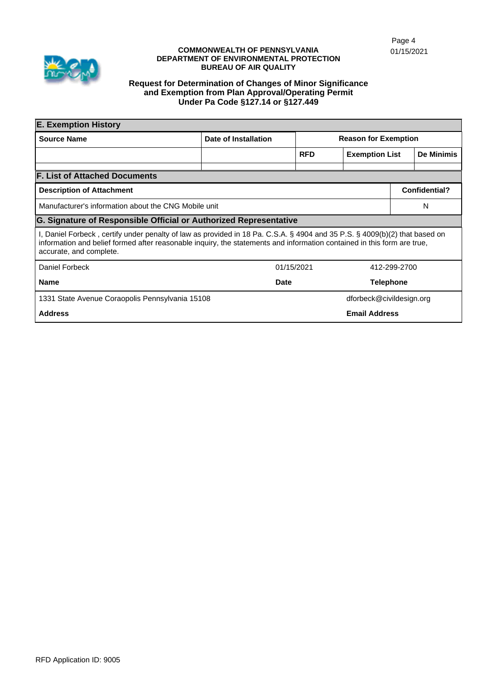

| <b>E. Exemption History</b>                                                                                                                                                                                                                                                      |                                     |                             |            |              |   |  |  |  |  |  |
|----------------------------------------------------------------------------------------------------------------------------------------------------------------------------------------------------------------------------------------------------------------------------------|-------------------------------------|-----------------------------|------------|--------------|---|--|--|--|--|--|
| <b>Source Name</b>                                                                                                                                                                                                                                                               | Date of Installation                | <b>Reason for Exemption</b> |            |              |   |  |  |  |  |  |
|                                                                                                                                                                                                                                                                                  | <b>RFD</b><br><b>Exemption List</b> |                             | De Minimis |              |   |  |  |  |  |  |
|                                                                                                                                                                                                                                                                                  |                                     |                             |            |              |   |  |  |  |  |  |
| <b>F. List of Attached Documents</b>                                                                                                                                                                                                                                             |                                     |                             |            |              |   |  |  |  |  |  |
| <b>Description of Attachment</b>                                                                                                                                                                                                                                                 | Confidential?                       |                             |            |              |   |  |  |  |  |  |
| Manufacturer's information about the CNG Mobile unit                                                                                                                                                                                                                             |                                     |                             |            |              | N |  |  |  |  |  |
| G. Signature of Responsible Official or Authorized Representative                                                                                                                                                                                                                |                                     |                             |            |              |   |  |  |  |  |  |
| I, Daniel Forbeck, certify under penalty of law as provided in 18 Pa. C.S.A. § 4904 and 35 P.S. § 4009(b)(2) that based on<br>information and belief formed after reasonable inquiry, the statements and information contained in this form are true,<br>accurate, and complete. |                                     |                             |            |              |   |  |  |  |  |  |
| Daniel Forbeck                                                                                                                                                                                                                                                                   |                                     | 01/15/2021                  |            | 412-299-2700 |   |  |  |  |  |  |
| <b>Name</b>                                                                                                                                                                                                                                                                      | Date                                | Telephone                   |            |              |   |  |  |  |  |  |
| 1331 State Avenue Coraopolis Pennsylvania 15108                                                                                                                                                                                                                                  | dforbeck@civildesign.org            |                             |            |              |   |  |  |  |  |  |
| <b>Address</b>                                                                                                                                                                                                                                                                   |                                     | <b>Email Address</b>        |            |              |   |  |  |  |  |  |